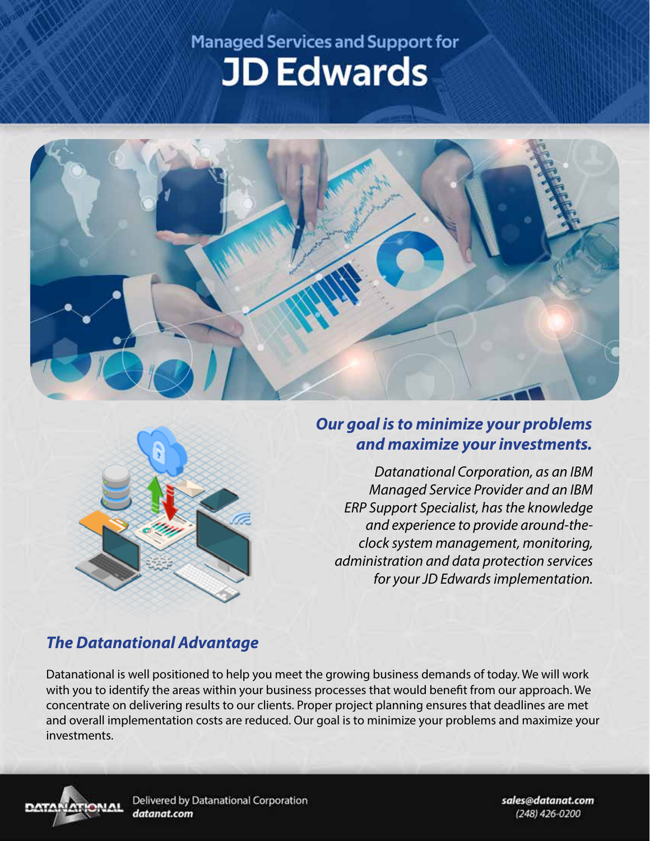# **Managed Services and Support for JD Edwards**





## *Our goal is to minimize your problems and maximize your investments.*

*Datanational Corporation, as an IBM Managed Service Provider and an IBM ERP Support Specialist, has the knowledge and experience to provide around-theclock system management, monitoring, administration and data protection services for your JD Edwards implementation.*

# *The Datanational Advantage*

Datanational is well positioned to help you meet the growing business demands of today. We will work with you to identify the areas within your business processes that would benefit from our approach. We concentrate on delivering results to our clients. Proper project planning ensures that deadlines are met and overall implementation costs are reduced. Our goal is to minimize your problems and maximize your investments.



Delivered by Datanational Corporation datanat.com

sales@datanat.com (248) 426-0200